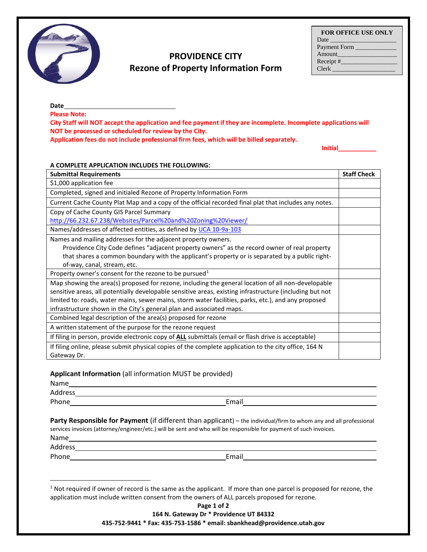

# **PROVIDENCE CITY Rezone of Property Information Form**

| <b>FOR OFFICE USE ONLY</b>                                                                                                                                                                                                    |
|-------------------------------------------------------------------------------------------------------------------------------------------------------------------------------------------------------------------------------|
| Date and the same of the same of the same of the same of the same of the same of the same of the same of the same of the same of the same of the same of the same of the same of the same of the same of the same of the same |
| Payment Form                                                                                                                                                                                                                  |
| Amount                                                                                                                                                                                                                        |
| Receipt $#$                                                                                                                                                                                                                   |
| Clerk                                                                                                                                                                                                                         |

**Date**

**Please Note:** 

**City Staff will NOT accept the application and fee payment if they are incomplete. Incomplete applications will NOT be processed or scheduled for review by the City.** 

**Application fees do not include professional firm fees, which will be billed separately.**

 **Initial\_\_\_\_\_\_\_\_\_\_\_**

## **A COMPLETE APPLICATION INCLUDES THE FOLLOWING:**

| <b>Submittal Requirements</b>                                                                            | <b>Staff Check</b> |
|----------------------------------------------------------------------------------------------------------|--------------------|
| \$1,000 application fee                                                                                  |                    |
| Completed, signed and initialed Rezone of Property Information Form                                      |                    |
| Current Cache County Plat Map and a copy of the official recorded final plat that includes any notes.    |                    |
| Copy of Cache County GIS Parcel Summary                                                                  |                    |
| http://66.232.67.238/Websites/Parcel%20and%20Zoning%20Viewer/                                            |                    |
| Names/addresses of affected entities, as defined by UCA 10-9a-103                                        |                    |
| Names and mailing addresses for the adjacent property owners.                                            |                    |
| Providence City Code defines "adjacent property owners" as the record owner of real property             |                    |
| that shares a common boundary with the applicant's property or is separated by a public right-           |                    |
| of-way, canal, stream, etc.                                                                              |                    |
| Property owner's consent for the rezone to be pursued <sup>1</sup>                                       |                    |
| Map showing the area(s) proposed for rezone, including the general location of all non-developable       |                    |
| sensitive areas, all potentially developable sensitive areas, existing infrastructure (including but not |                    |
| limited to: roads, water mains, sewer mains, storm water facilities, parks, etc.), and any proposed      |                    |
| infrastructure shown in the City's general plan and associated maps.                                     |                    |
| Combined legal description of the area(s) proposed for rezone                                            |                    |
| A written statement of the purpose for the rezone request                                                |                    |
| If filing in person, provide electronic copy of ALL submittals (email or flash drive is acceptable)      |                    |
| If filing online, please submit physical copies of the complete application to the city office, 164 N    |                    |
| Gateway Dr.                                                                                              |                    |

**Applicant Information** (all information MUST be provided)

<u> 1989 - Johann Stoff, deutscher Stoffen und der Stoffen und der Stoffen und der Stoffen und der Stoffen und der</u>

Name

Address

Phone **Email** 

**Party Responsible for Payment** (if different than applicant) – the individual/firm to whom any and all professional services invoices (attorney/engineer/etc.) will be sent and who will be responsible for payment of such invoices.

Name

 $\overline{a}$ 

Address

Phone Email

#### **164 N. Gateway Dr \* Providence UT 84332**

**435-752-9441 \* Fax: 435-753-1586 \* email: sbankhead@providence.utah.gov**

 $1$  Not required if owner of record is the same as the applicant. If more than one parcel is proposed for rezone, the application must include written consent from the owners of ALL parcels proposed for rezone.